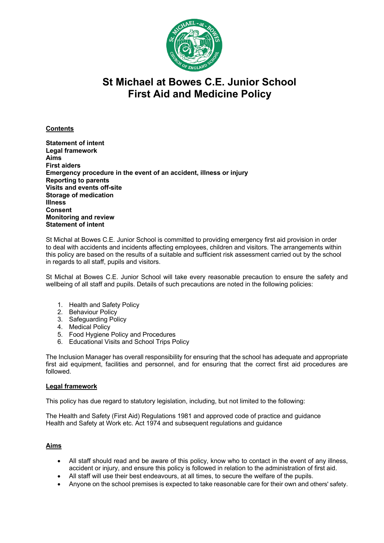

# **St Michael at Bowes C.E. Junior School First Aid and Medicine Policy**

# **Contents**

**Statement of intent Legal framework Aims First aiders Emergency procedure in the event of an accident, illness or injury Reporting to parents Visits and events off-site Storage of medication Illness Consent Monitoring and review Statement of intent**

St Michal at Bowes C.E. Junior School is committed to providing emergency first aid provision in order to deal with accidents and incidents affecting employees, children and visitors. The arrangements within this policy are based on the results of a suitable and sufficient risk assessment carried out by the school in regards to all staff, pupils and visitors.

St Michal at Bowes C.E. Junior School will take every reasonable precaution to ensure the safety and wellbeing of all staff and pupils. Details of such precautions are noted in the following policies:

- 1. Health and Safety Policy
- 2. Behaviour Policy
- 3. Safeguarding Policy
- 4. Medical Policy
- 5. Food Hygiene Policy and Procedures
- 6. Educational Visits and School Trips Policy

The Inclusion Manager has overall responsibility for ensuring that the school has adequate and appropriate first aid equipment, facilities and personnel, and for ensuring that the correct first aid procedures are followed.

## **Legal framework**

This policy has due regard to statutory legislation, including, but not limited to the following:

The Health and Safety (First Aid) Regulations 1981 and approved code of practice and guidance Health and Safety at Work etc. Act 1974 and subsequent regulations and guidance

# **Aims**

- All staff should read and be aware of this policy, know who to contact in the event of any illness, accident or injury, and ensure this policy is followed in relation to the administration of first aid.
- All staff will use their best endeavours, at all times, to secure the welfare of the pupils.
- Anyone on the school premises is expected to take reasonable care for their own and others' safety.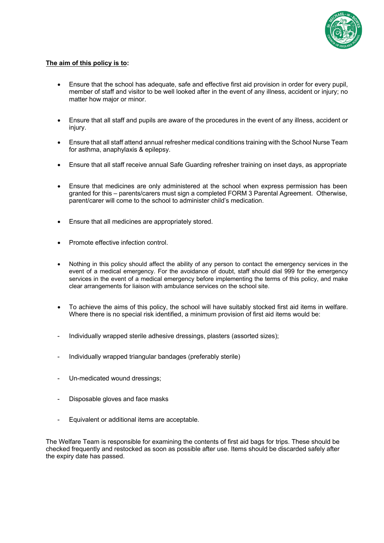

# **The aim of this policy is to:**

- Ensure that the school has adequate, safe and effective first aid provision in order for every pupil, member of staff and visitor to be well looked after in the event of any illness, accident or injury; no matter how major or minor.
- Ensure that all staff and pupils are aware of the procedures in the event of any illness, accident or injury.
- Ensure that all staff attend annual refresher medical conditions training with the School Nurse Team for asthma, anaphylaxis & epilepsy.
- Ensure that all staff receive annual Safe Guarding refresher training on inset days, as appropriate
- Ensure that medicines are only administered at the school when express permission has been granted for this – parents/carers must sign a completed FORM 3 Parental Agreement. Otherwise, parent/carer will come to the school to administer child's medication.
- Ensure that all medicines are appropriately stored.
- Promote effective infection control.
- Nothing in this policy should affect the ability of any person to contact the emergency services in the event of a medical emergency. For the avoidance of doubt, staff should dial 999 for the emergency services in the event of a medical emergency before implementing the terms of this policy, and make clear arrangements for liaison with ambulance services on the school site.
- To achieve the aims of this policy, the school will have suitably stocked first aid items in welfare. Where there is no special risk identified, a minimum provision of first aid items would be:
- Individually wrapped sterile adhesive dressings, plasters (assorted sizes);
- Individually wrapped triangular bandages (preferably sterile)
- Un-medicated wound dressings;
- Disposable gloves and face masks
- Equivalent or additional items are acceptable.

The Welfare Team is responsible for examining the contents of first aid bags for trips. These should be checked frequently and restocked as soon as possible after use. Items should be discarded safely after the expiry date has passed.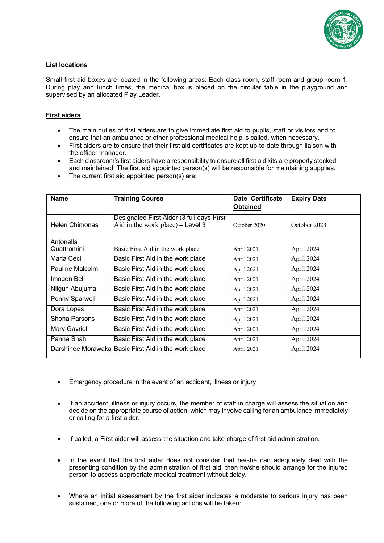

# **List locations**

Small first aid boxes are located in the following areas: Each class room, staff room and group room 1. During play and lunch times, the medical box is placed on the circular table in the playground and supervised by an allocated Play Leader.

## **First aiders**

- The main duties of first aiders are to give immediate first aid to pupils, staff or visitors and to ensure that an ambulance or other professional medical help is called, when necessary.
- First aiders are to ensure that their first aid certificates are kept up-to-date through liaison with the officer manager.
- Each classroom's first aiders have a responsibility to ensure all first aid kits are properly stocked and maintained. The first aid appointed person(s) will be responsible for maintaining supplies.
- The current first aid appointed person(s) are:

| <b>Name</b>              | <b>Training Course</b>                                                          | Date Certificate<br><b>Obtained</b> | <b>Expiry Date</b> |
|--------------------------|---------------------------------------------------------------------------------|-------------------------------------|--------------------|
| <b>Helen Chimonas</b>    | Designated First Aider (3 full days First<br>Aid in the work place) $-$ Level 3 | October 2020                        | October 2023       |
| Antonella<br>Quattromini | Basic First Aid in the work place                                               | April 2021                          | April 2024         |
| Maria Ceci               | Basic First Aid in the work place                                               | April 2021                          | April 2024         |
| Pauline Malcolm          | Basic First Aid in the work place                                               | April 2021                          | April 2024         |
| Imogen Bell              | Basic First Aid in the work place                                               | April 2021                          | April 2024         |
| Nilgun Abujuma           | Basic First Aid in the work place                                               | April 2021                          | April 2024         |
| Penny Sparwell           | Basic First Aid in the work place                                               | April 2021                          | April 2024         |
| Dora Lopes               | Basic First Aid in the work place                                               | April 2021                          | April 2024         |
| Shona Parsons            | Basic First Aid in the work place                                               | April 2021                          | April 2024         |
| <b>Mary Gavriel</b>      | Basic First Aid in the work place                                               | April 2021                          | April 2024         |
| Panna Shah               | Basic First Aid in the work place                                               | April 2021                          | April 2024         |
|                          | Darshinee Morawaka Basic First Aid in the work place                            | April 2021                          | April 2024         |

- Emergency procedure in the event of an accident, illness or injury
- If an accident, illness or injury occurs, the member of staff in charge will assess the situation and decide on the appropriate course of action, which may involve calling for an ambulance immediately or calling for a first aider.
- If called, a First aider will assess the situation and take charge of first aid administration.
- In the event that the first aider does not consider that he/she can adequately deal with the presenting condition by the administration of first aid, then he/she should arrange for the injured person to access appropriate medical treatment without delay.
- Where an initial assessment by the first aider indicates a moderate to serious injury has been sustained, one or more of the following actions will be taken: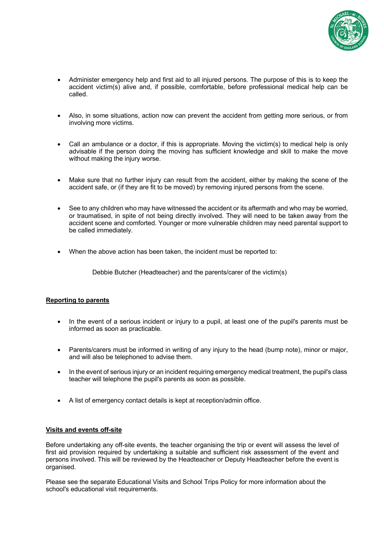

- Administer emergency help and first aid to all injured persons. The purpose of this is to keep the accident victim(s) alive and, if possible, comfortable, before professional medical help can be called.
- Also, in some situations, action now can prevent the accident from getting more serious, or from involving more victims.
- Call an ambulance or a doctor, if this is appropriate. Moving the victim(s) to medical help is only advisable if the person doing the moving has sufficient knowledge and skill to make the move without making the injury worse.
- Make sure that no further injury can result from the accident, either by making the scene of the accident safe, or (if they are fit to be moved) by removing injured persons from the scene.
- See to any children who may have witnessed the accident or its aftermath and who may be worried, or traumatised, in spite of not being directly involved. They will need to be taken away from the accident scene and comforted. Younger or more vulnerable children may need parental support to be called immediately.
- When the above action has been taken, the incident must be reported to:

Debbie Butcher (Headteacher) and the parents/carer of the victim(s)

## **Reporting to parents**

- In the event of a serious incident or injury to a pupil, at least one of the pupil's parents must be informed as soon as practicable.
- Parents/carers must be informed in writing of any injury to the head (bump note), minor or major, and will also be telephoned to advise them.
- In the event of serious injury or an incident requiring emergency medical treatment, the pupil's class teacher will telephone the pupil's parents as soon as possible.
- A list of emergency contact details is kept at reception/admin office.

#### **Visits and events off-site**

Before undertaking any off-site events, the teacher organising the trip or event will assess the level of first aid provision required by undertaking a suitable and sufficient risk assessment of the event and persons involved. This will be reviewed by the Headteacher or Deputy Headteacher before the event is organised.

Please see the separate Educational Visits and School Trips Policy for more information about the school's educational visit requirements.